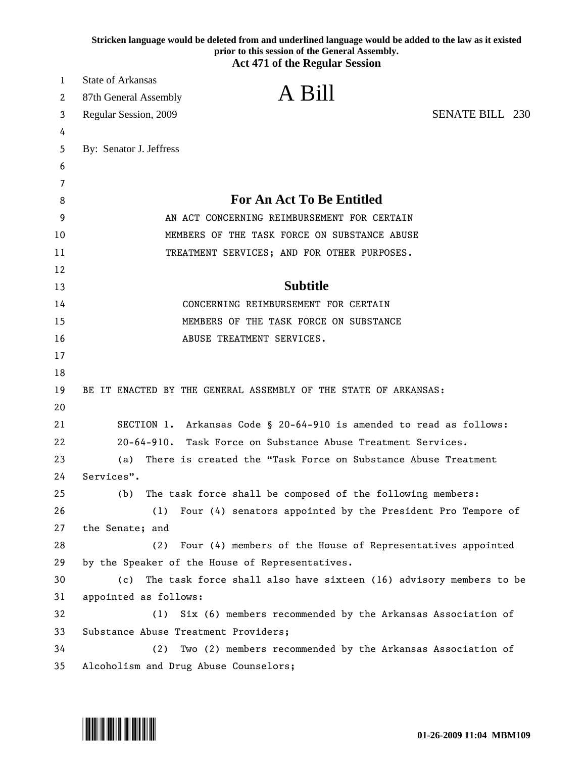|          | Stricken language would be deleted from and underlined language would be added to the law as it existed<br>prior to this session of the General Assembly. |
|----------|-----------------------------------------------------------------------------------------------------------------------------------------------------------|
|          | <b>Act 471 of the Regular Session</b>                                                                                                                     |
| 1        | <b>State of Arkansas</b>                                                                                                                                  |
| 2        | A Bill<br>87th General Assembly                                                                                                                           |
| 3        | <b>SENATE BILL 230</b><br>Regular Session, 2009                                                                                                           |
| 4        |                                                                                                                                                           |
| 5        | By: Senator J. Jeffress                                                                                                                                   |
| 6        |                                                                                                                                                           |
| 7        |                                                                                                                                                           |
| 8        | <b>For An Act To Be Entitled</b>                                                                                                                          |
| 9        | AN ACT CONCERNING REIMBURSEMENT FOR CERTAIN                                                                                                               |
| 10       | MEMBERS OF THE TASK FORCE ON SUBSTANCE ABUSE                                                                                                              |
| 11       | TREATMENT SERVICES; AND FOR OTHER PURPOSES.                                                                                                               |
| 12       | <b>Subtitle</b>                                                                                                                                           |
| 13       | CONCERNING REIMBURSEMENT FOR CERTAIN                                                                                                                      |
| 14       |                                                                                                                                                           |
| 15<br>16 | MEMBERS OF THE TASK FORCE ON SUBSTANCE<br>ABUSE TREATMENT SERVICES.                                                                                       |
| 17       |                                                                                                                                                           |
| 18       |                                                                                                                                                           |
| 19       | BE IT ENACTED BY THE GENERAL ASSEMBLY OF THE STATE OF ARKANSAS:                                                                                           |
| 20       |                                                                                                                                                           |
| 21       | SECTION 1. Arkansas Code § 20-64-910 is amended to read as follows:                                                                                       |
| 22       | $20 - 64 - 910$ .<br>Task Force on Substance Abuse Treatment Services.                                                                                    |
| 23       | There is created the "Task Force on Substance Abuse Treatment<br>(a)                                                                                      |
| 24       | Services".                                                                                                                                                |
| 25       | The task force shall be composed of the following members:<br>(b)                                                                                         |
| 26       | (1)<br>Four (4) senators appointed by the President Pro Tempore of                                                                                        |
| 27       | the Senate; and                                                                                                                                           |
| 28       | (2)<br>Four (4) members of the House of Representatives appointed                                                                                         |
| 29       | by the Speaker of the House of Representatives.                                                                                                           |
| 30       | The task force shall also have sixteen (16) advisory members to be<br>(c)                                                                                 |
| 31       | appointed as follows:                                                                                                                                     |
| 32       | Six (6) members recommended by the Arkansas Association of<br>(1)                                                                                         |
| 33       | Substance Abuse Treatment Providers;                                                                                                                      |
| 34       | Two (2) members recommended by the Arkansas Association of<br>(2)                                                                                         |
| 35       | Alcoholism and Drug Abuse Counselors;                                                                                                                     |